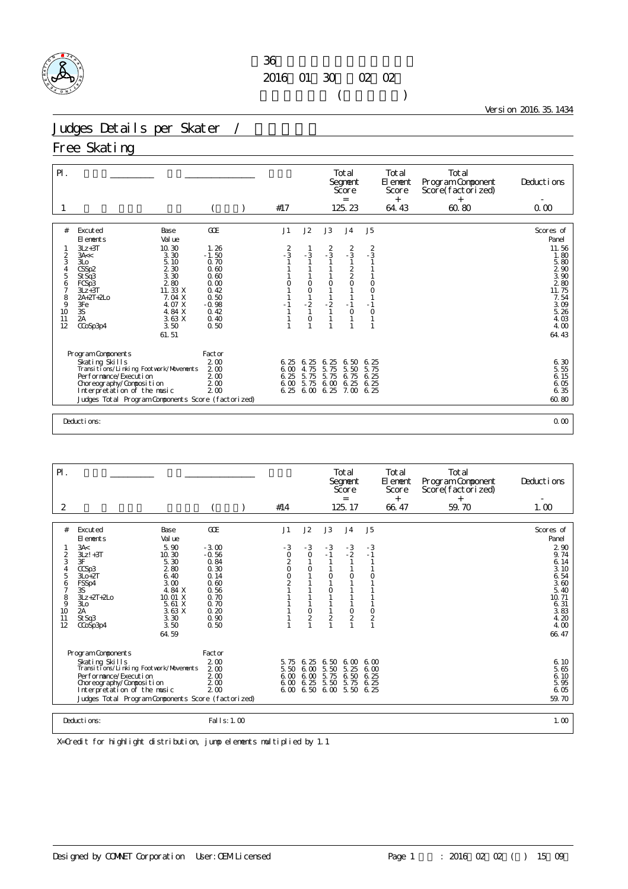

Version 2016.35.1434

# Judges Details per Skater /

## Free Skating

| $P$ .            |                                                                                                                                                                                                    |                                                                  |                                     |                                      |                                              | Total<br>Segnent<br>Score<br>$=$                                 |                              | Total<br>El ement<br>Score<br>$^{+}$ | Total<br>Program Component<br>Score(factorized)<br>$\pm$ | Deductions                                                      |
|------------------|----------------------------------------------------------------------------------------------------------------------------------------------------------------------------------------------------|------------------------------------------------------------------|-------------------------------------|--------------------------------------|----------------------------------------------|------------------------------------------------------------------|------------------------------|--------------------------------------|----------------------------------------------------------|-----------------------------------------------------------------|
|                  |                                                                                                                                                                                                    |                                                                  | #17                                 |                                      |                                              | 125.23                                                           |                              | 64.43                                | 60.80                                                    | 0.00                                                            |
| #                | Excuted<br>Base<br>Val ue<br>El ements<br>$3Lz + 3T$<br>10.30                                                                                                                                      | GOE<br>1.26                                                      | J1                                  | J2                                   | J3                                           | J <sub>4</sub>                                                   | J5                           |                                      |                                                          | Scores of<br>Panel<br>11.56                                     |
| 2<br>3<br>5      | 3.30<br>3A <<br>3 <sub>LO</sub><br>5.10<br>2 3 0<br>CSSp2<br>3.30<br>St Sq3                                                                                                                        | $-1.50$<br>0.70<br>0.60<br>0.60                                  | $\frac{2}{3}$                       | $-3$                                 | $\frac{2}{3}$                                | $\frac{2}{3}$<br>$\begin{smallmatrix} 2\\2\\0 \end{smallmatrix}$ | $\frac{2}{3}$                |                                      |                                                          | 1.80<br>5.80<br>$\begin{array}{c} 2 & 90 \\ 3 & 90 \end{array}$ |
| 6<br>7<br>8<br>9 | 280<br>FCSp3<br>11. 33 X<br>$3Lz + 3T$<br>$2A + 2T + 2L0$<br>7.04 X<br>4. O7 X<br>3Fe                                                                                                              | 0.00<br>0.42<br>0.50<br>$-0.98$                                  | 0                                   | $\circ$<br>$\circ$<br>$-2$           | $\circ$<br>$-2$                              | $-1$                                                             | $\circ$<br>$\circ$<br>$-1$   |                                      |                                                          | 280<br>11.75<br>7.54<br>3.09                                    |
| 10<br>11<br>12   | 3S<br>4.84 X<br>$\overline{2A}$<br>3.63 X<br>3.50<br>CCoSp3p4<br>61.51                                                                                                                             | 0.42<br>0.40<br>0.50                                             |                                     | $\circ$                              |                                              | $\circ$                                                          | $\circ$<br>$\mathbf{1}$      |                                      |                                                          | 5.26<br>4.03<br>4.00<br>64.43                                   |
|                  | Program Components                                                                                                                                                                                 | Factor                                                           |                                     |                                      |                                              |                                                                  |                              |                                      |                                                          |                                                                 |
|                  | Skating Skills<br>Transitions/Linking Footwork/Movements<br>Performance/Execution<br>Choreography/Composition<br>Interpretation of the music<br>Judges Total Program Components Score (factorized) | 200<br>2 <sub>0</sub><br>200<br>2 <sub>0</sub><br>2 <sub>0</sub> | 6.25<br>600<br>6.25<br>6.00<br>6.25 | 6.25<br>4.75<br>5.75<br>5.75<br>6,00 | 6.25<br>75<br>5.<br>5.<br>75<br>6.00<br>6.25 | 6.50<br>5.50<br>6.75<br>6.25<br>7.00 6.25                        | 6.25<br>5.75<br>6.25<br>6.25 |                                      |                                                          | 6.30<br>5.55<br>$6.15$<br>$6.05$<br>6.35<br>60.80               |

Deductions: 0.00

| $P$ .         |                                                              |                       |                          |                     |                     | Total<br>Segnent<br>Score<br>$=$ |                | Total<br>El ement<br>Score | Total<br>Program Component<br>Score(factorized) | Deductions<br>$\overline{\phantom{a}}$ |
|---------------|--------------------------------------------------------------|-----------------------|--------------------------|---------------------|---------------------|----------------------------------|----------------|----------------------------|-------------------------------------------------|----------------------------------------|
| 2             |                                                              |                       | #14                      |                     |                     | 125.17                           |                | $^{+}$<br>66.47            | $^{+}$<br>59.70                                 | 1.00                                   |
|               |                                                              |                       |                          |                     |                     |                                  |                |                            |                                                 |                                        |
| #             | Excuted<br>Base<br>Val ue<br>El ements                       | GOE                   | J1                       | J2                  | J3                  | J <sub>4</sub>                   | J <sub>5</sub> |                            |                                                 | Scores of<br>Panel                     |
|               | 5.90<br>3A<<br>$3Lz! + 3T$<br>10.30                          | $-3.00$<br>$-0.56$    | $-3$<br>$\overline{O}$   | $-3$<br>$\circ$     | $-3$<br>$-1$        | $-3$<br>$-2$                     | $-3$<br>$-1$   |                            |                                                 | 2 90<br>9.74                           |
| $\frac{2}{3}$ | 3F<br>5.30                                                   | 0.84                  | 2                        |                     |                     |                                  |                |                            |                                                 | 6.14                                   |
| 4<br>5        | 280<br>CCSp3<br>6.40<br>$3L0+2T$                             | 0.30<br>0.14          | $\circ$<br>$\frac{0}{2}$ | $\circ$             | $\mathbf 0$         | $\mathbf 0$                      | 0              |                            |                                                 | 3.10<br>6.54                           |
| 6<br>7        | 3.00<br>FSSp4<br>4.84 X<br>3S                                | 0.60<br>0.56          |                          |                     | $\mathbf 0$         |                                  |                |                            |                                                 | 3.60<br>5.40                           |
| 8<br>9        | $3Lz + 2T + 2Lo$<br>10.01 X<br>3L <sub>O</sub><br>5.61 X     | 0.70<br>0.70          |                          |                     |                     |                                  |                |                            |                                                 | 10.71<br>6.31                          |
| 10<br>11      | 2A<br>3.63X<br>3.30<br>St Sq3                                | 0.20<br>0.90          |                          | 0<br>$\overline{c}$ | $\overline{a}$      | O<br>$\overline{c}$              | $\frac{0}{2}$  |                            |                                                 | 3.83<br>4.20                           |
| 12            | 3.50<br>CCoSp3p4<br>64.59                                    | 0.50                  |                          |                     |                     |                                  | 1              |                            |                                                 | 4.00<br>66.47                          |
|               |                                                              |                       |                          |                     |                     |                                  |                |                            |                                                 |                                        |
|               | Program Components                                           | Factor                |                          |                     |                     |                                  |                |                            |                                                 |                                        |
|               | Skating Skills<br>Transi ti ons/Li nki ng Footvork/Movements | 200<br>2 <sub>0</sub> | 5.75<br>5.50             | 6.25<br>6.00        | 6.50<br>5.50        | 600<br>5.25                      | 6,00<br>6.00   |                            |                                                 | 6.10<br>5.65                           |
|               | Per for mance/Execution<br>Choreography/Composition          | 200<br>2 <sub>0</sub> | 6.00<br>6.00             | 6.00<br>6.25        | 5.75<br>5.50        | 6.50<br>5.75                     | 6.25<br>6.25   |                            |                                                 | 6.10<br>5.95                           |
|               | Interpretation of the music                                  | 2 <sub>0</sub>        | 6.00                     |                     | 6.50 6.00 5.50 6.25 |                                  |                |                            |                                                 | 6.05                                   |
|               | Judges Total Program Components Score (factorized)           |                       |                          |                     |                     |                                  |                |                            |                                                 | 59.70                                  |
|               | Deductions:                                                  | Fal   s: 1.00         |                          |                     |                     |                                  |                |                            |                                                 | 1.00                                   |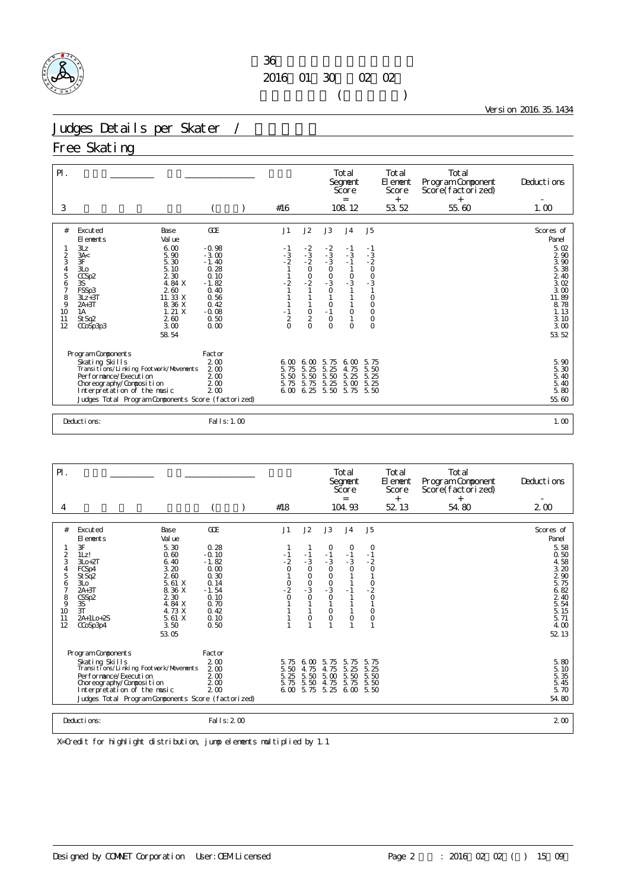

Version 2016.35.1434

# Judges Details per Skater /

## Free Skating

| $\mathsf{P}$ .<br>3                                                       |                                                                                                                                                                                                                                                                            |                                                                                                                    | #16                                                                            |                                                                          |                                                                                                                         | Total<br>Segnent<br>Score<br>$=$<br>108.12                                                                                 |                                                                                                                                   | Total<br>El ement<br>Score<br>$^{+}$<br>53.52 | Total<br>Program Component<br>Score(factorized)<br>$^{+}$<br>55.60 | Deducti ons<br>1.00                                                                                                          |
|---------------------------------------------------------------------------|----------------------------------------------------------------------------------------------------------------------------------------------------------------------------------------------------------------------------------------------------------------------------|--------------------------------------------------------------------------------------------------------------------|--------------------------------------------------------------------------------|--------------------------------------------------------------------------|-------------------------------------------------------------------------------------------------------------------------|----------------------------------------------------------------------------------------------------------------------------|-----------------------------------------------------------------------------------------------------------------------------------|-----------------------------------------------|--------------------------------------------------------------------|------------------------------------------------------------------------------------------------------------------------------|
| #<br>$\frac{2}{3}$<br>$\frac{4}{5}$<br>6<br>7<br>8<br>9<br>10<br>11<br>12 | Excuted<br>Base<br>Val ue<br>El ements<br>3Lz<br>6.00<br>3A<<br>5.90<br>3F<br>5.30<br>3L <sub>O</sub><br>5.10<br>2 3 0<br>CCSp2<br>4.84 X<br>3S<br>FSSp3<br>260<br>11.33 X<br>$3Lz + 3T$<br>$2A+3T$<br>8.36 X<br>1.21X<br>1A<br>260<br>St Sq2<br>3.00<br>CCoSp3p3<br>58.54 | GOE<br>$-0.98$<br>$-3.00$<br>$-1.40$<br>0.28<br>0.10<br>$-1.82$<br>0.40<br>0.56<br>0.42<br>$-0.08$<br>0.50<br>0.00 | J1<br>- 1<br>$-3$<br>$-2$<br>$\mathbf{1}$<br>$-2$<br>$\frac{1}{2}$<br>$\Omega$ | J2<br>$-2$<br>$-3$<br>$-2$<br>$\frac{0}{2}$<br>$\frac{0}{2}$<br>$\Omega$ | J3<br>$-2$<br>$-3$<br>$-3$<br>$\begin{matrix} 0 \\ 0 \\ -3 \\ 0 \end{matrix}$<br>$\circ$<br>$-1$<br>$\circ$<br>$\Omega$ | J <sub>4</sub><br>$-1$<br>$-3$<br>$-1$<br>$\begin{matrix} 1 \\ 0 \\ -3 \end{matrix}$<br>$\circ$<br>$\mathbf{1}$<br>$\circ$ | J <sub>5</sub><br>$-1$<br>$-3$<br>$-2$<br>0<br>0<br>0<br>3<br>$\mathbf{1}$<br>$\circ$<br>$\circ$<br>$\circ$<br>$\circ$<br>$\circ$ |                                               |                                                                    | Scores of<br>Panel<br>5.02<br>2 90<br>3.90<br>5.38<br>2.40<br>3.02<br>3.00<br>11.89<br>8.78<br>1.13<br>3.10<br>3.00<br>53.52 |
|                                                                           | Program Components<br>Skating Skills<br>Transi ti ons/Li nki ng Footvork/Movements<br>Performance/Execution<br>Choreography/Composition<br>Interpretation of the music<br>Judges Total Program Components Score (factorized)<br>Deductions:                                | Factor<br>200<br>2 <sub>0</sub><br>200<br>2 <sub>0</sub><br>200<br>Fal I s: 1.00                                   | 6.00<br>5.75<br>5.50<br>5.75<br>6,00                                           | 6,00<br>5.25<br>$\frac{5}{5}$ $\frac{50}{75}$<br>6.25                    | 5.75<br>5.<br>25<br>$\frac{5}{5}$ 50<br>5.25<br>5.50                                                                    | 6,00<br>4.75<br>$\begin{array}{c} 5.25 \\ 5.00 \end{array}$<br>5.75                                                        | 5.75<br>5.50<br>5.25<br>5.25<br>5.50                                                                                              |                                               |                                                                    | 5.90<br>5.30<br>5.40<br>5.40<br>5.80<br>55.60<br>1.00                                                                        |

| $\mathsf{P}$ .                                                                                                 |                                                                                                                                                                                                                                                                                       |                                                                                                              |                                                           |                                                                                                                |                                                                                | Total<br>Segnent<br>Score                                               |                                                                                                  | Total<br>El ement<br>Score | Total<br>Program Component<br>Score(factorized) | Deductions                                                                                                                             |
|----------------------------------------------------------------------------------------------------------------|---------------------------------------------------------------------------------------------------------------------------------------------------------------------------------------------------------------------------------------------------------------------------------------|--------------------------------------------------------------------------------------------------------------|-----------------------------------------------------------|----------------------------------------------------------------------------------------------------------------|--------------------------------------------------------------------------------|-------------------------------------------------------------------------|--------------------------------------------------------------------------------------------------|----------------------------|-------------------------------------------------|----------------------------------------------------------------------------------------------------------------------------------------|
| 4                                                                                                              |                                                                                                                                                                                                                                                                                       |                                                                                                              | #18                                                       |                                                                                                                |                                                                                | $=$<br>104.93                                                           |                                                                                                  | $^{+}$<br>52 13            | $^{+}$<br>54.80                                 | $2\omega$                                                                                                                              |
| #<br>$\frac{2}{3}$<br>4<br>5<br>6<br>$\overline{7}$<br>$\begin{array}{c} 8 \\ 9 \end{array}$<br>10<br>11<br>12 | Excuted<br>Base<br>Val ue<br>El ements<br>5.30<br>3F<br>0.60<br>1Lz!<br>6.40<br>$3I_0+2I_0$<br>3.20<br>FCSp4<br>260<br>St Sq2<br>5.61 X<br>3L <sub>O</sub><br>8.36 X<br>$2A+3T$<br>2 3 0<br>CSSp2<br>4.84 X<br>3S<br>3T<br>4.73 X<br>5.61 X<br>2A+1Lo+2S<br>3.50<br>CCoSp3p4<br>53.05 | GOE<br>0.28<br>$-0.10$<br>$-1.82$<br>0.00<br>0.30<br>0.14<br>$-1.54$<br>0.10<br>0.70<br>0.42<br>0.10<br>0.50 | J1<br>$-1$<br>$-2$<br>$\overline{O}$<br>$-2$<br>$-2$<br>0 | J2<br>$\frac{-1}{3}$<br>$\circ$<br>O<br>$\begin{smallmatrix}0\\-3\end{smallmatrix}$<br>$\Omega$<br>$\mathbf 0$ | J3<br>0<br>$\frac{-1}{3}$<br>$\circ$<br>$0$<br>$-3$<br>$\circ$<br>0<br>$\circ$ | J <sub>4</sub><br>O<br>$\frac{-1}{3}$<br>$\circ$<br>$-1$<br>$\mathbf 0$ | J <sub>5</sub><br>O<br>$-1$<br>$-2$<br>$\circ$<br>1<br>$-2$<br>0<br>0<br>$\circ$<br>$\mathbf{1}$ |                            |                                                 | Scores of<br>Panel<br>5.58<br>0.50<br>4.58<br>3.20<br>290<br>5.75<br>6.82<br>2 40<br>$\frac{5}{5}$ 54<br>5.15<br>5.71<br>4.00<br>52 13 |
|                                                                                                                | Program Components<br>Skating Skills<br>Transi ti ons/Li nki ng Footvork/Movements<br>Per for mance/Execution<br>Choreography/Composition<br>Interpretation of the music<br>Judges Total Program Components Score (factorized)                                                        | Factor<br>2 <sub>0</sub><br>2 <sub>0</sub><br>2 <sub>0</sub><br>2 <sub>0</sub><br>2 <sub>0</sub>             | 5.75<br>5.50<br>5.25<br>5.75<br>6 <sub>0</sub>            | 6.00<br>4.75<br>5.50<br>5.50<br>5.75                                                                           | 5.75<br>75<br>$\overline{4}$<br>5.00<br>4.75<br>5.25                           | 5.75<br>5.<br>25<br>5.50<br>5.75<br>6.00                                | 5.75<br>5.25<br>5.50<br>5.50<br>5.50                                                             |                            |                                                 | 5.80<br>5.10<br>5.35<br>5.45<br>5.70<br>54.80                                                                                          |
|                                                                                                                | Deductions:                                                                                                                                                                                                                                                                           | Fal I s: 2 00                                                                                                |                                                           |                                                                                                                |                                                                                |                                                                         |                                                                                                  |                            |                                                 | 2 <sub>0</sub>                                                                                                                         |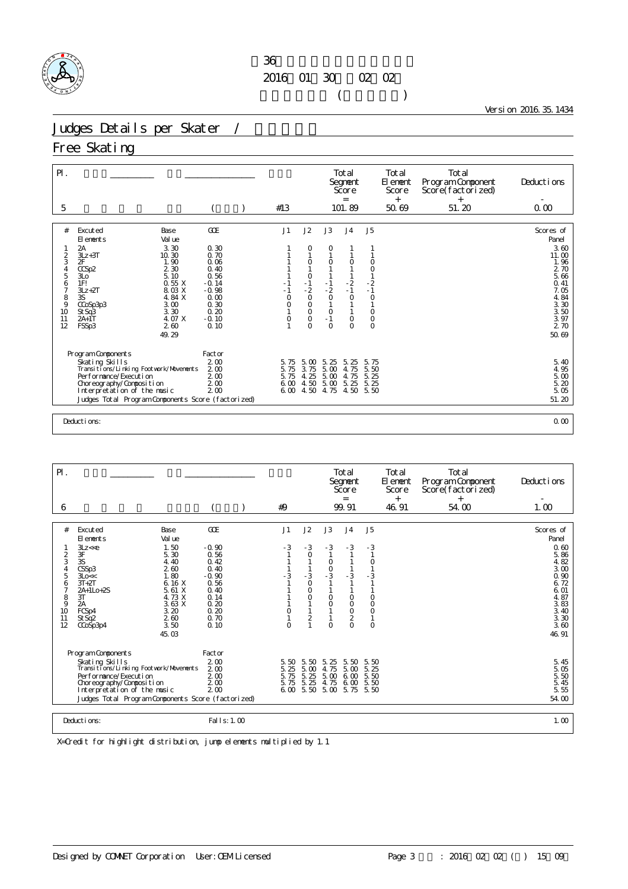

Version 2016.35.1434

# Judges Details per Skater /

## Free Skating

| $P$ .<br>5                                                          |                                                                                                                                                                                                                                                                                    |                                                                                                              | #13                                            |                                                                                                     |                                                                                        | Total<br>Segnent<br>Score<br>$=$<br>101.89                                       |                                                                                                                                  | Total<br>El ement<br>Score<br>$^{+}$<br>50.69 | Total<br>Program Component<br>Score(factorized)<br>$+$<br>51.20 | Deductions<br>0.00                                                                                                                 |
|---------------------------------------------------------------------|------------------------------------------------------------------------------------------------------------------------------------------------------------------------------------------------------------------------------------------------------------------------------------|--------------------------------------------------------------------------------------------------------------|------------------------------------------------|-----------------------------------------------------------------------------------------------------|----------------------------------------------------------------------------------------|----------------------------------------------------------------------------------|----------------------------------------------------------------------------------------------------------------------------------|-----------------------------------------------|-----------------------------------------------------------------|------------------------------------------------------------------------------------------------------------------------------------|
|                                                                     |                                                                                                                                                                                                                                                                                    |                                                                                                              |                                                |                                                                                                     |                                                                                        |                                                                                  |                                                                                                                                  |                                               |                                                                 |                                                                                                                                    |
| #<br>$\overline{c}$<br>3<br>5<br>6<br>7<br>8<br>9<br>10<br>11<br>12 | Excuted<br>Base<br>El ements<br>Val ue<br>2A<br>3.30<br>10.30<br>$3Lz + 3T$<br>2F<br>1.90<br>2 3 0<br>CCSp2<br>5.10<br>3L <sub>O</sub><br>0.55 X<br>1F!<br>8.03 X<br>$3Lz + 2T$<br>4.84 X<br>3S<br>CCoSp3p3<br>3.00<br>3.30<br>St Sq3<br>2A+1T<br>4. 07 X<br>FSSp3<br>260<br>49.29 | GOE<br>0.30<br>0.70<br>0.06<br>0.40<br>0.56<br>$-0.14$<br>$-0.98$<br>0.00<br>0.30<br>0.20<br>$-0.10$<br>0.10 | J1<br>- 1<br>$\circ$<br>0<br>0                 | J2<br>0<br>O<br>$\mathsf O$<br>$-1$<br>$-2$<br>$\circ$<br>$\circ$<br>$\circ$<br>$\circ$<br>$\Omega$ | J3<br>O<br>O<br>$-1$<br>$-2$<br>$\circ$<br>$\mathbf{1}$<br>$\circ$<br>$-1$<br>$\Omega$ | J <sub>4</sub><br>$\circ$<br>$-2$<br>$-1$<br>$\circ$<br>1<br>$\circ$<br>$\Omega$ | J <sub>5</sub><br>$\circ$<br>$\circ$<br>$\mathbf{1}$<br>$-2$<br>$-1$<br>$\circ$<br>$\mathbf{1}$<br>$\circ$<br>$\circ$<br>$\circ$ |                                               |                                                                 | Scores of<br>Panel<br>3.60<br>11.00<br>1.96<br>2 70<br>5.66<br>0.41<br>7.05<br>4.84<br>$3.30$<br>$3.50$<br>$3.97$<br>2 70<br>50.69 |
|                                                                     | Program Components<br>Skating Skills<br>Transi ti ons/Li nki ng Footvork/Movements<br>Per for mance/Execution<br>Choreography/Composition<br>Interpretation of the music<br>Judges Total Program Components Score (factorized)                                                     | Factor<br>2 <sub>0</sub><br>200<br>2 <sub>0</sub><br>200<br>200                                              | 5.75<br>5.75<br>5.75<br>6 <sub>0</sub><br>6.00 | 5.<br>$\infty$<br>3.75<br>4.25<br>4.50<br>4.50                                                      | 5.25<br>5.00<br>5.00<br>5.00<br>4.75                                                   | 5.25<br>4.75<br>4.75<br>5.25<br>4.50                                             | 5.75<br>5.50<br>5.25<br>5.25<br>5.50                                                                                             |                                               |                                                                 | 5.40<br>4.95<br>$\begin{array}{c} 5.00 \\ 5.20 \end{array}$<br>5.05<br>51.20                                                       |
|                                                                     | Deductions:                                                                                                                                                                                                                                                                        |                                                                                                              |                                                |                                                                                                     |                                                                                        |                                                                                  |                                                                                                                                  |                                               |                                                                 | 0.00                                                                                                                               |

|                                                                                                                                                                                                                                                                                                                                                |                                                                                                           |                                          |                                                                                                                      |                                                                                                                                       | Total<br>Segnent<br>Score                                                                     |                                                                                                                 | Total<br>El ement<br>Score | Total<br>Program Component<br>Score(factorized) | Deductions                                                                                                                  |
|------------------------------------------------------------------------------------------------------------------------------------------------------------------------------------------------------------------------------------------------------------------------------------------------------------------------------------------------|-----------------------------------------------------------------------------------------------------------|------------------------------------------|----------------------------------------------------------------------------------------------------------------------|---------------------------------------------------------------------------------------------------------------------------------------|-----------------------------------------------------------------------------------------------|-----------------------------------------------------------------------------------------------------------------|----------------------------|-------------------------------------------------|-----------------------------------------------------------------------------------------------------------------------------|
| 6                                                                                                                                                                                                                                                                                                                                              |                                                                                                           | #9                                       |                                                                                                                      |                                                                                                                                       | $=$<br>99.91                                                                                  |                                                                                                                 | $^{+}$<br>46.91            | $^{+}$<br>54.00                                 | 1.00                                                                                                                        |
| #<br>Excuted<br>Base<br>Val ue<br>El ements<br>1.50<br>3Lz << e<br>3F<br>5.30<br>$\overline{2}$<br>3<br>3S<br>4.40<br>260<br>CSSp3<br>4<br>1.80<br>5<br>3Lo<<<br>6.16 X<br>$3T+2T$<br>6<br>5.61 X<br>7<br>2A+1Lo+2S<br>8<br>3T<br>4.73 X<br>3.63 X<br>9<br>2A<br>10<br>FCSp4<br>3.20<br>2.60<br>11<br>StSq2<br>12<br>3.50<br>CCoSp3p4<br>45.03 | GOE<br>$-0.90$<br>0.56<br>0.42<br>0.40<br>$-0.90$<br>0.56<br>0.40<br>0.14<br>0.20<br>0.20<br>0.70<br>0.10 | J1<br>$-3$<br>$-3$<br>0<br>1<br>$\Omega$ | J2<br>$-3$<br>$\circ$<br>$-3$<br>$\circ$<br>$\mathbf 0$<br>$\circ$<br>$\mathbf{1}$<br>$\overline{2}$<br>$\mathbf{1}$ | J3<br>$-3$<br>$\mathbf{1}$<br>0<br>$\begin{array}{c} 0 \\ -3 \end{array}$<br>0<br>$\circ$<br>$\mathbf{1}$<br>$\mathbf{1}$<br>$\Omega$ | J <sub>4</sub><br>$-3$<br>$-3$<br>$\circ$<br>$\circ$<br>$\circ$<br>$\overline{2}$<br>$\Omega$ | J <sub>5</sub><br>$-3$<br>$\mathbf{1}$<br>0<br>$-3$<br>$\circ$<br>$\circ$<br>$\circ$<br>$\mathbf{1}$<br>$\circ$ |                            |                                                 | Scores of<br>Panel<br>0.60<br>5.86<br>4.82<br>3.00<br>0.90<br>6.72<br>6.01<br>4.87<br>3.83<br>3.40<br>3.30<br>3.60<br>46.91 |
| Program Components<br>Skating Skills<br>Transi ti ons/Li nki ng Footwork/Movements<br>Per for mance/Execution<br>Choreography/Composition<br>Interpretation of the music<br>Judges Total Program Components Score (factorized)<br>Deducti ons:                                                                                                 | Factor<br>2 <sub>0</sub><br>200<br>200<br>2 <sub>0</sub><br>2 <sub>0</sub><br>Fal I s: 1.00               | 5.50<br>5.25<br>5.75<br>5.75             | 5.50<br>5.00<br>5.25<br>5.25                                                                                         | 5.25<br>4.75<br>5.00<br>4.75<br>$600$ 5.50 5.00                                                                                       | 5.50<br>5.00<br>6.00<br>6.00<br>5.75                                                          | 5.50<br>5.25<br>5.50<br>5.50<br>5.50                                                                            |                            |                                                 | $\frac{5}{5} \frac{45}{05}$<br>$\frac{5}{5} \frac{50}{45}$<br>5.55<br>54.00<br>1.00                                         |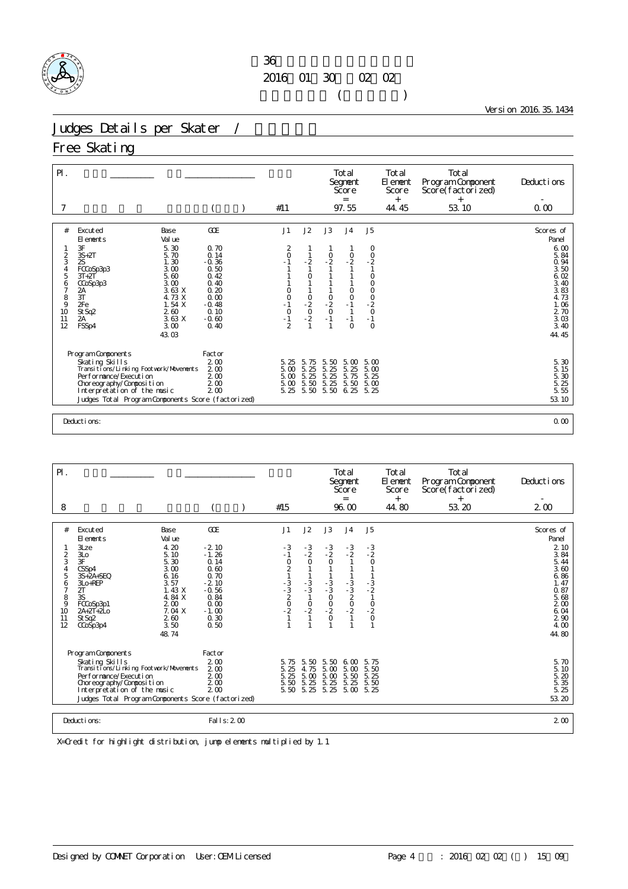

Version 2016.35.1434

# Judges Details per Skater /

## Free Skating

| $P$ .                                                                                        |                                                                                                                                                                                                                                                              |                                                                                                                     | #11                                                                                 |                                                                        |                                                                                  | Total<br>Segnent<br>Score<br>$=$<br>97.55                                                           |                                                                                                                                                  | Total<br>El ement<br>Score<br>$+$<br>44.45 | Total<br>Program Component<br>Score(factorized)<br>$^{+}$<br>53.10 | Deducti ons<br>0.00                                                                                                                                                     |
|----------------------------------------------------------------------------------------------|--------------------------------------------------------------------------------------------------------------------------------------------------------------------------------------------------------------------------------------------------------------|---------------------------------------------------------------------------------------------------------------------|-------------------------------------------------------------------------------------|------------------------------------------------------------------------|----------------------------------------------------------------------------------|-----------------------------------------------------------------------------------------------------|--------------------------------------------------------------------------------------------------------------------------------------------------|--------------------------------------------|--------------------------------------------------------------------|-------------------------------------------------------------------------------------------------------------------------------------------------------------------------|
|                                                                                              |                                                                                                                                                                                                                                                              |                                                                                                                     |                                                                                     |                                                                        |                                                                                  |                                                                                                     |                                                                                                                                                  |                                            |                                                                    |                                                                                                                                                                         |
| #<br>$\frac{2}{3}$<br>5<br>6<br>7<br>$\begin{array}{c} 8 \\ 9 \end{array}$<br>10<br>11<br>12 | Excuted<br>Base<br>El ements<br>Val ue<br>3F<br>5.30<br>5.70<br>$3S+2T$<br>1.30<br>2S<br>3.00<br>FCCoSp3p3<br>5.60<br>$3T+2T$<br>3.00<br>CCoSp3p3<br>3.63 X<br>2A<br>3T<br>4.73 X<br>1.54X<br>2Fe<br>2.60<br>St Sq2<br>3.63X<br>2A<br>FSSp4<br>3.00<br>43.03 | GOE<br>0.70<br>0.14<br>$-0.36$<br>0.50<br>0.42<br>0.40<br>0.20<br>0.00<br>$-0.48$<br>0.10<br>$-0.60$<br>$\Omega$ 40 | J1<br>2<br>$\circ$<br>$-1$<br>0<br>$\mathsf O$<br>$-1$<br>$0 - 1$<br>$\mathfrak{D}$ | J2<br>1<br>$-2$<br>1<br>$\circ$<br>1<br>$\frac{0}{2}$<br>$\frac{0}{2}$ | J3<br>$\frac{0}{2}$<br>$\begin{array}{c} 0 \\ -2 \end{array}$<br>$\circ$<br>$-1$ | J <sub>4</sub><br>$\frac{0}{2}$<br>$\circ$<br>$\circ$<br>$-1$<br>$\overline{1}$<br>$-1$<br>$\Omega$ | J <sub>5</sub><br>0<br>$\begin{smallmatrix}0\\-2\end{smallmatrix}$<br>$\mathbf{1}$<br>$\circ$<br>$\mathsf O$<br>$\frac{0}{2}$<br>$-0$<br>$\circ$ |                                            |                                                                    | Scores of<br>Panel<br>6.00<br>5.84<br>0.94<br>3.50<br>6.02<br>3.40<br>3.83<br>4.73<br>1.06<br>$\begin{smallmatrix} 2 & 70 \\ 3 & 03 \end{smallmatrix}$<br>3.40<br>44.45 |
|                                                                                              | Program Components<br>Skating Skills<br>Transi ti ons/Li nki ng Footvork/Movements<br>Performance/Execution<br>Choreography/Composition<br>Interpretation of the music<br>Judges Total Program Components Score (factorized)                                 | Factor<br>2 <sub>0</sub><br>200<br>200<br>2 <sub>0</sub><br>200                                                     | 5.25<br>5.00<br>5.00<br>5.00<br>5.25                                                | 5.75<br>5.25<br>5.25<br>5.50<br>5.50                                   | 5.50<br>5.25<br>$\frac{5}{5}$ $\frac{25}{25}$<br>5.50                            | 5.00<br>5.25<br>5.75<br>5.50<br>6.25                                                                | 5.00<br>5.00<br>5.25<br>5.00<br>5.25                                                                                                             |                                            |                                                                    | 5.30<br>5.15<br>5.30<br>5.25<br>5.55<br>53.10                                                                                                                           |
|                                                                                              | Deductions:                                                                                                                                                                                                                                                  |                                                                                                                     |                                                                                     |                                                                        |                                                                                  |                                                                                                     |                                                                                                                                                  |                                            |                                                                    | 0.00                                                                                                                                                                    |

| $\mathsf{P}$ .                                                                               |                                                                                                                                                                                                                                                                                            |                                                                                                                           |                                                                  |                                                                                                   |                                                                              | Total<br>Segnent<br>Score                                                      |                                                                                 | Total<br>El ement<br>Score | Total<br>Program Component<br>Score(factorized) | Deductions                                                                                                                           |
|----------------------------------------------------------------------------------------------|--------------------------------------------------------------------------------------------------------------------------------------------------------------------------------------------------------------------------------------------------------------------------------------------|---------------------------------------------------------------------------------------------------------------------------|------------------------------------------------------------------|---------------------------------------------------------------------------------------------------|------------------------------------------------------------------------------|--------------------------------------------------------------------------------|---------------------------------------------------------------------------------|----------------------------|-------------------------------------------------|--------------------------------------------------------------------------------------------------------------------------------------|
| 8                                                                                            |                                                                                                                                                                                                                                                                                            |                                                                                                                           | #15                                                              |                                                                                                   |                                                                              | $=$<br>96.00                                                                   |                                                                                 | $^{+}$<br>44.80            | $+$<br>53.20                                    | $2\omega$                                                                                                                            |
| #<br>$\frac{2}{3}$<br>$\overline{4}$<br>5<br>6<br>$\overline{7}$<br>8<br>9<br>10<br>11<br>12 | Base<br>Excuted<br>Val ue<br>El ements<br>4.20<br>3Lze<br>3L <sub>O</sub><br>5.10<br>3F<br>5.30<br>CSSp4<br>3.00<br>6.16<br>$3S+2A+SFO$<br>3.57<br>3Lo+REP<br>1.43 X<br>2T<br>3S<br>4.84 X<br>FCCoSp3p1<br>200<br>$2A + 2T + 2LO$<br>7.04 X<br>St Sq2<br>2.60<br>3.50<br>CCoSp3p4<br>48.74 | <b>GOE</b><br>$-2.10$<br>$-1.26$<br>0.14<br>0.60<br>0.70<br>$-2.10$<br>$-0.56$<br>0.84<br>0.00<br>$-1.00$<br>0.30<br>0.50 | J1<br>$-3$<br>- 1<br>$\circ$<br>$2 + 3 = 3$<br>$-3 = 20$<br>$-2$ | J2<br>$-3$<br>$\frac{2}{0}$<br>$-3$<br>$-3$<br>$\mathbf{1}$<br>$\frac{0}{2}$<br>$\mathbf{1}$<br>1 | J3<br>$-3$<br>$\frac{2}{0}$<br>$-3$<br>$-3$<br>0<br>0<br>0<br>-2<br>$\Omega$ | J <sub>4</sub><br>$-3$<br>$-2$<br>$-3$<br>$-3$<br>$-2$<br>$-2$<br>$\mathbf{1}$ | J5<br>$-3$<br>$-2$<br>$\circ$<br>$-3$<br>$-2$<br>1<br>$-2$<br>0<br>$\mathbf{1}$ |                            |                                                 | Scores of<br>Panel<br>2 10<br>3.84<br>5.44<br>3.60<br>6.86<br>1.47<br>0.87<br>5.68<br>2 <sub>0</sub><br>6.04<br>290<br>4.00<br>44.80 |
|                                                                                              | Program Components<br>Skating Skills<br>Transi ti ons/Li nki ng Footvork/Movements<br>Per for mance/Execution<br>Choreography/Composition<br>Interpretation of the music<br>Judges Total Program Components Score (factorized)                                                             | Factor<br>200<br>2 <sub>0</sub><br>200<br>2 <sub>0</sub><br>2 <sub>0</sub>                                                | 5.75<br>5.25<br>5.25<br>5.50<br>5.50 5.25                        | 5.50<br>4.75<br>5.00<br>5.25                                                                      | 5.50<br>5.00<br>5.00<br>5.25<br>5.25                                         | 6.00<br>5.00<br>5.50<br>5.25<br>5.00 5.25                                      | 5.75<br>5.50<br>5.25<br>5.50                                                    |                            |                                                 | 5.70<br>5.10<br>5.20<br>$\frac{5}{5}$ . $\frac{35}{25}$<br>53.20                                                                     |
|                                                                                              | Deductions:                                                                                                                                                                                                                                                                                | Fal   s: 2 00                                                                                                             |                                                                  |                                                                                                   |                                                                              |                                                                                |                                                                                 |                            |                                                 | 2 <sub>0</sub>                                                                                                                       |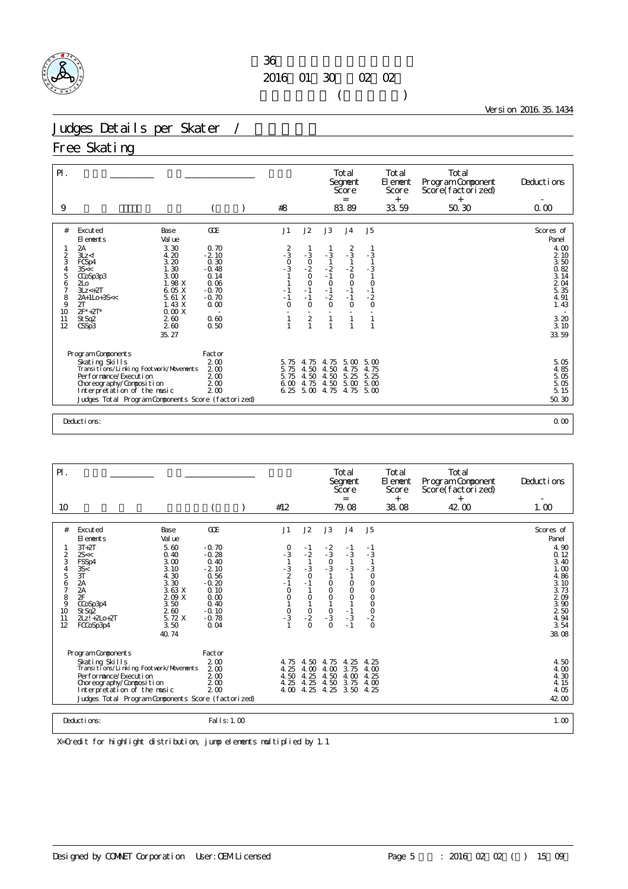

Version 2016.35.1434

# Judges Details per Skater /

## Free Skating

| $P$ .<br>9 |                                                         |                       | #8                   |                                  |                             | Total<br>Segnent<br>Score<br>$=$<br>83.89 |                                            | Total<br>El ement<br>Score<br>$+$<br>33.59 | Total<br>Program Component<br>Score(factorized)<br>$+$<br>50.30 | Deductions<br>0.00 |
|------------|---------------------------------------------------------|-----------------------|----------------------|----------------------------------|-----------------------------|-------------------------------------------|--------------------------------------------|--------------------------------------------|-----------------------------------------------------------------|--------------------|
| #          | Excuted<br>Base                                         | GOE                   | J1                   | J2                               | J3                          | J <sub>4</sub>                            | J <sub>5</sub>                             |                                            |                                                                 | Scores of          |
|            | El ements<br>Val ue                                     |                       |                      |                                  |                             |                                           |                                            |                                            |                                                                 | Panel              |
|            | 2A<br>3.30                                              | 0.70                  |                      |                                  |                             | $\frac{2}{3}$                             |                                            |                                            |                                                                 | 4.00               |
| 2          | 4.20<br>$3Lz$ $<$ !                                     | $-2.10$               |                      |                                  | $-3$                        |                                           | $-3$                                       |                                            |                                                                 | 2 10               |
| 3<br>4     | 3.20<br>FCSp4<br>1.30<br>35 <                           | 0.30<br>$-0.48$       | $-3$<br>$-3$<br>$-3$ |                                  | $\frac{1}{2}$<br>- 2<br>- 1 |                                           | $\overline{1}$                             |                                            |                                                                 | 3.50<br>0.82       |
| 5          | 3.00<br>CCoSp3p3                                        | 0.14                  |                      | $-3$<br>$-2$<br>$-2$<br>0        |                             | $\frac{1}{2}$                             | $-3$                                       |                                            |                                                                 | 3.14               |
| 6          | 1.98 X<br>2L <sub>0</sub>                               | 0.06                  |                      | $\circ$                          |                             | $\circ$                                   | $\begin{smallmatrix}0\\1\end{smallmatrix}$ |                                            |                                                                 | 204                |
| 7<br>8     | $3Lz < +2T$<br>6.05 X<br>5.61 X<br>2A+1Lo+3S<<          | $-0.70$<br>$-0.70$    | $-1$<br>$-1$         | $-1$<br>$-1$                     | $\frac{0}{-2}$              | $-1$<br>$-1$                              | $-2$                                       |                                            |                                                                 | 5.35<br>4.91       |
| 9          | 2T<br>1.43 X                                            | 0.00                  | $\Omega$             | $\Omega$                         | $\Omega$                    | $\Omega$                                  | $\circ$                                    |                                            |                                                                 | 1.43               |
| 10         | $2F^*+2T^*$<br>0.00X                                    |                       |                      |                                  |                             |                                           |                                            |                                            |                                                                 |                    |
| 11<br>12   | 2.60<br>St Sq2<br>CSSp3<br>260                          | 0.60<br>0.50          |                      | $\overline{2}$<br>$\overline{1}$ | $\mathbf{1}$                | $\mathbf{1}$                              | $\mathbf{1}$<br>$\mathbf{1}$               |                                            |                                                                 | 3.20<br>3.10       |
|            | 35.27                                                   |                       |                      |                                  |                             |                                           |                                            |                                            |                                                                 | 33.59              |
|            |                                                         |                       |                      |                                  |                             |                                           |                                            |                                            |                                                                 |                    |
|            | Program Components                                      | Factor                |                      |                                  |                             |                                           |                                            |                                            |                                                                 |                    |
|            | Skating Skills                                          | 2 <sub>0</sub>        | 5.75                 | 75<br>4.                         | 4.75                        | 5.00                                      | 5.00                                       |                                            |                                                                 | 5.05               |
|            | Transi ti ons/Li nki ng Footvork/Movements              | 200                   | 5.75                 | 4.50                             | 4.50                        | 4.75                                      | 4.75                                       |                                            |                                                                 | 4.85               |
|            | Per for mance/Execution                                 | 200                   | 5.75<br>6.00         | 4.50<br>4.75                     | 4.50                        | 5.25<br>5.00                              | 5.25<br>5.00                               |                                            |                                                                 | 5.05<br>5.05       |
|            | Choreography/Composition<br>Interpretation of the music | 2 <sub>0</sub><br>200 | 6.25                 | 5.00                             | 4.50<br>4.75                | 4.75                                      | 5.00                                       |                                            |                                                                 | 5.15               |
|            | Judges Total Program Components Score (factorized)      |                       |                      |                                  |                             |                                           |                                            |                                            |                                                                 | 50.30              |
|            |                                                         |                       |                      |                                  |                             |                                           |                                            |                                            |                                                                 |                    |
|            | Deductions:                                             |                       |                      |                                  |                             |                                           |                                            |                                            |                                                                 | 0.00               |

| $\mathsf{P}$ .                                                           |                                                                                                                                                                                                                                                                     |                                                                                                                                     |                                                                               |                                                                                       |                                                                                           | Total<br>Segnent<br>Score                                                                       |                                                           | Total<br>El enent<br>Score | Total<br>Program Component<br>Score(factorized) | Deductions                                                                                                                |
|--------------------------------------------------------------------------|---------------------------------------------------------------------------------------------------------------------------------------------------------------------------------------------------------------------------------------------------------------------|-------------------------------------------------------------------------------------------------------------------------------------|-------------------------------------------------------------------------------|---------------------------------------------------------------------------------------|-------------------------------------------------------------------------------------------|-------------------------------------------------------------------------------------------------|-----------------------------------------------------------|----------------------------|-------------------------------------------------|---------------------------------------------------------------------------------------------------------------------------|
| 10                                                                       |                                                                                                                                                                                                                                                                     |                                                                                                                                     | #12                                                                           |                                                                                       |                                                                                           | $=$<br>79.08                                                                                    |                                                           | $^{+}$<br>38.08            | $^{+}$<br>42.00                                 | 1.00                                                                                                                      |
| #<br>2<br>3<br>4<br>5<br>6<br>$\overline{7}$<br>8<br>9<br>10<br>11<br>12 | Excuted<br>Base<br>Val ue<br>El ements<br>$3T+2T$<br>5.60<br>2s<<br>0.40<br>FSSp4<br>3.00<br>3.10<br>35<<br>3T<br>4.30<br>2A<br>3.30<br>3.63X<br>2A<br>2F<br>209 X<br>CCoSp3p4<br>3.50<br>260<br>StSq2<br>5.72 X<br>$2Lz! + 2L0 + 2T$<br>FCCoSp3p4<br>3.50<br>40.74 | <b>GOE</b><br>$-0.70$<br>$-0.28$<br>0.40<br>$-2.10$<br>0.56<br>$-0.20$<br>0.10<br>0.00<br>$\Omega$ 40<br>$-0.10$<br>$-0.78$<br>0.04 | J1<br>$\frac{0}{3}$<br>$-3$<br>2<br>-1<br>$\circ$<br>$\circ$<br>$\frac{0}{3}$ | J2<br>$-1$<br>$-2$<br>$-3$<br>$\circ$<br>$-1$<br>$\circ$<br>$\frac{0}{2}$<br>$\Omega$ | J3<br>$\frac{2}{3}$<br>$\frac{0}{3}$<br>$\circ$<br>$\bar{0}$<br>$\frac{0}{3}$<br>$\Omega$ | J <sub>4</sub><br>$-1$<br>$-3$<br>$-3$<br>$\circ$<br>$\circ$<br>$\circ$<br>$-1$<br>$-3$<br>$-1$ | J <sub>5</sub><br>- 1<br>$-3$<br>- 3<br>$\circ$<br>000000 |                            |                                                 | Scores of<br>Panel<br>4.90<br>0.12<br>3.40<br>1.00<br>4.86<br>3.10<br>3.73<br>209<br>3.90<br>250<br>4.94<br>3.54<br>38.08 |
|                                                                          | Program Components<br>Skating Skills<br>Transi ti ons/Li nki ng Footvork/Movements<br>Per for mance/Execution<br>Choreography/Composition<br>Interpretation of the music<br>Judges Total Program Components Score (factorized)                                      | Factor<br>2 <sub>0</sub><br>200<br>200<br>$2\omega$<br>200                                                                          | 4.75<br>4.25<br>4.50<br>4.25<br>4.00                                          | 4.50<br>4.00<br>4.25<br>4.25<br>4.25                                                  | 4.75<br>4.00<br>4.50<br>4.50                                                              | 4.25<br>3.75<br>4.00<br>3.75<br>4.25 3.50                                                       | 4.25<br>4.00<br>4.25<br>4.00<br>4.25                      |                            |                                                 | 4.50<br>4.00<br>4.30<br>4.15<br>4.05<br>42.00                                                                             |
|                                                                          | Deductions:                                                                                                                                                                                                                                                         | Fal   s: 1.00                                                                                                                       |                                                                               |                                                                                       |                                                                                           |                                                                                                 |                                                           |                            |                                                 | 1.00                                                                                                                      |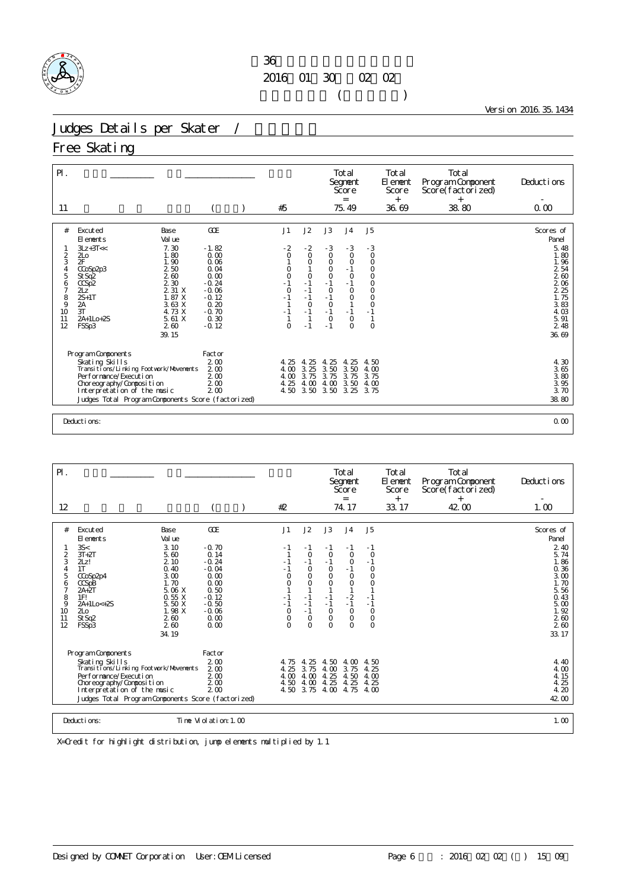

Version 2016.35.1434

# Judges Details per Skater /

## Free Skating

| $P$ .<br>11                                                   |                                                                                                                                                                                                                                                                                                  |                                                                                                                       | #5                                                                             |                                                                                                               |                                                                                                                             | Total<br>Segnent<br>Score<br>$=$<br>75.49                                                                                                    |                                                                                                                                                           | Total<br>El ement<br>Score<br>$^{+}$<br>36.69 | Total<br>Program Component<br>Score(factorized)<br>$^{+}$<br>38.80 | Deductions<br>0.00                                                                                                                          |
|---------------------------------------------------------------|--------------------------------------------------------------------------------------------------------------------------------------------------------------------------------------------------------------------------------------------------------------------------------------------------|-----------------------------------------------------------------------------------------------------------------------|--------------------------------------------------------------------------------|---------------------------------------------------------------------------------------------------------------|-----------------------------------------------------------------------------------------------------------------------------|----------------------------------------------------------------------------------------------------------------------------------------------|-----------------------------------------------------------------------------------------------------------------------------------------------------------|-----------------------------------------------|--------------------------------------------------------------------|---------------------------------------------------------------------------------------------------------------------------------------------|
|                                                               |                                                                                                                                                                                                                                                                                                  |                                                                                                                       |                                                                                |                                                                                                               |                                                                                                                             |                                                                                                                                              |                                                                                                                                                           |                                               |                                                                    |                                                                                                                                             |
| #<br>2<br>3<br>5<br>6<br>7<br>$\frac{8}{9}$<br>10<br>11<br>12 | Excuted<br>Base<br>El ements<br>Val ue<br>$3Lz + 3T <<$<br>7.30<br>1.80<br>2L <sub>0</sub><br>2F<br>1.90<br>2 50<br>CCoSp2p3<br>260<br>St Sq2<br>2.30<br>CCSp2<br>2 31 X<br>2Lz <sup>'</sup><br>1.87 X<br>$2S+1T$<br>2A<br>3.63 X<br>4.73 X<br>3T<br>5.61X<br>2A+1Lo+2S<br>FSSp3<br>260<br>39.15 | GOE<br>$-1.82$<br>0.00<br>0.06<br>0.04<br>0.00<br>$-0.24$<br>$-0.06$<br>$-0.12$<br>0.20<br>$-0.70$<br>0.30<br>$-0.12$ | J1<br>$-2$<br>0<br>0<br>$\circ$<br>$-1$<br>$\circ$<br>$-1$<br>$-1$<br>$\Omega$ | J2<br>$-2$<br>$\circ$<br>O<br>1<br>$\circ$<br>$-1$<br>$-1$<br>$-1$<br>$\circ$<br>$-1$<br>$\mathbf{1}$<br>$-1$ | J3<br>$-3$<br>$\circ$<br>$\circ$<br>$\mathsf O$<br>$\circ$<br>$-1$<br>$\circ$<br>$-1$<br>$\circ$<br>$-1$<br>$\circ$<br>$-1$ | J <sub>4</sub><br>$-3$<br>$\circ$<br>$\circ$<br>$-1$<br>$\circ$<br>$-1$<br>$\circ$<br>$\circ$<br>$\mathbf{1}$<br>$-1$<br>$\circ$<br>$\Omega$ | J <sub>5</sub><br>$-3$<br>$\circ$<br>$\circ$<br>$\mathsf O$<br>$\circ$<br>$\mathsf O$<br>$\circ$<br>$\circ$<br>$\circ$<br>$-1$<br>$\mathbf{1}$<br>$\circ$ |                                               |                                                                    | Scores of<br>Panel<br>5.48<br>1.80<br>1.96<br>$\frac{2}{2}$ $\frac{54}{60}$<br>206<br>2 25<br>1.75<br>3.83<br>4.03<br>5.91<br>2.48<br>36.69 |
|                                                               | Program Components<br>Skating Skills<br>Transi ti ons/Li nki ng Footvork/Movements<br>Per for mance/Execution<br>Choreography/Composition<br>Interpretation of the music<br>Judges Total Program Components Score (factorized)                                                                   | Factor<br>2 <sub>0</sub><br>200<br>2 <sub>0</sub><br>2 <sub>0</sub><br>200                                            | 4.25<br>4.00<br>4.00<br>4.25<br>4.50                                           | . 25<br>4.<br>3.25<br>3.75<br>4.00<br>3.50                                                                    | 25<br>4.<br>3.50<br>3.75<br>4.00<br>3.50                                                                                    | 25<br>4.<br>3.50<br>3.75<br>3.50<br>3.25                                                                                                     | 4.50<br>4.00<br>3.75<br>4.00<br>3.75                                                                                                                      |                                               |                                                                    | 4.30<br>3.65<br>$\frac{3}{3}$ 80<br>3.95<br>3.70<br>38.80                                                                                   |
|                                                               | Deductions:                                                                                                                                                                                                                                                                                      |                                                                                                                       |                                                                                |                                                                                                               |                                                                                                                             |                                                                                                                                              |                                                                                                                                                           |                                               |                                                                    | 0.00                                                                                                                                        |

| 42.00<br>#2<br>74.17<br>33.17<br>12<br>GOE<br>J2<br>J3<br>J5<br>#<br>J1<br>J <sub>4</sub><br>Excuted<br>Base<br>Val ue<br>El ements<br>3.10<br>3S<<br>$-0.70$<br>- 1<br>$-1$<br>$-1$<br>- 1<br>$-1$<br>$\frac{2}{3}$<br>$3T+2T$<br>0.14<br>5.60<br>$\circ$<br>$\circ$<br>$\circ$<br>$\circ$<br>$-0.24$<br>$-1$<br>2Lz!<br>2.10<br>$-1$<br>$-1$<br>- 1<br>0<br>$\overline{4}$<br>1T<br>0.40<br>$-0.04$<br>$-1$<br>$\circ$<br>- 1<br>$\circ$<br>$\circ$<br>5<br>3.00<br>0.00<br>$\circ$<br>$\circ$<br>0<br>$\circ$<br>CCoSp2p4<br>$\circ$<br>$\circ$<br>1.70<br>0.00<br>$\circ$<br>6<br>CCSpB<br>$\circ$<br>$\circ$<br>$\circ$<br>$\overline{7}$<br>5.06 X<br>0.50<br>$2A+2T$<br>8<br>$-2$<br>1FI<br>0.55X<br>$-0.12$<br>$-1$<br>$-1$<br>$-1$<br>$-1$<br>9<br>5.50 X<br>$-0.50$<br>$-1$<br>$2A+1Lo < +2S$<br>$-1$<br>$-1$<br>$-1$<br>$-1$<br>1.98 X<br>$-1$<br>$\circ$<br>10<br>$2\sigma$<br>$-0.06$<br>$\Omega$<br>$\circ$<br>$\circ$<br>$\mathsf O$<br>St Sq2<br>0.00<br>0<br>$\circ$<br>O<br>$\circ$<br>11<br>2.60<br>$\circ$<br>12<br>2.60<br>0.00<br>$\Omega$<br>$\Omega$<br>$\Omega$<br>$\Omega$<br>FSSp3<br>34.19<br>Program Components<br>Factor<br>Skating Skills<br>200<br>4.25<br>4.50<br>4.00<br>4.75<br>4.50<br>Transi ti ons/Li nki ng Footvork/Movements<br>200<br>4.25<br>3.75<br>4.00<br>3.75<br>4.25<br>Per for mance/Execution<br>2 <sub>0</sub><br>4.25<br>4.00<br>4.00<br>4.50<br>4.00<br>2 <sub>0</sub><br>4.25<br>4.25<br>4.25<br>Choreography/Composition<br>4.50<br>4.00<br>2 <sub>0</sub><br>Interpretation of the music<br>4.50 3.75<br>4.00<br>4.75<br>4.00 | $P$ . |  |  | Total<br>Segnent<br>Score<br>$=$ | Total<br>El ement<br>Score | Total<br>Program Component<br>Score(factorized) | Deductions                                                                                                                |
|---------------------------------------------------------------------------------------------------------------------------------------------------------------------------------------------------------------------------------------------------------------------------------------------------------------------------------------------------------------------------------------------------------------------------------------------------------------------------------------------------------------------------------------------------------------------------------------------------------------------------------------------------------------------------------------------------------------------------------------------------------------------------------------------------------------------------------------------------------------------------------------------------------------------------------------------------------------------------------------------------------------------------------------------------------------------------------------------------------------------------------------------------------------------------------------------------------------------------------------------------------------------------------------------------------------------------------------------------------------------------------------------------------------------------------------------------------------------------------------------------------------------------------------------------------------------------------------|-------|--|--|----------------------------------|----------------------------|-------------------------------------------------|---------------------------------------------------------------------------------------------------------------------------|
|                                                                                                                                                                                                                                                                                                                                                                                                                                                                                                                                                                                                                                                                                                                                                                                                                                                                                                                                                                                                                                                                                                                                                                                                                                                                                                                                                                                                                                                                                                                                                                                       |       |  |  |                                  | $^{+}$                     | $^{+}$                                          | 1.00                                                                                                                      |
|                                                                                                                                                                                                                                                                                                                                                                                                                                                                                                                                                                                                                                                                                                                                                                                                                                                                                                                                                                                                                                                                                                                                                                                                                                                                                                                                                                                                                                                                                                                                                                                       |       |  |  |                                  |                            |                                                 | Scores of<br>Panel<br>2 40<br>5.74<br>1.86<br>0.36<br>3.00<br>1.70<br>5.56<br>0.43<br>5.00<br>1.92<br>260<br>260<br>33.17 |
| Judges Total Program Components Score (factorized)<br>Deductions:<br>Time Violation: 1, 00                                                                                                                                                                                                                                                                                                                                                                                                                                                                                                                                                                                                                                                                                                                                                                                                                                                                                                                                                                                                                                                                                                                                                                                                                                                                                                                                                                                                                                                                                            |       |  |  |                                  |                            |                                                 | 4.40<br>4.00<br>4.15<br>4.25<br>4.20<br>42.00<br>1.00                                                                     |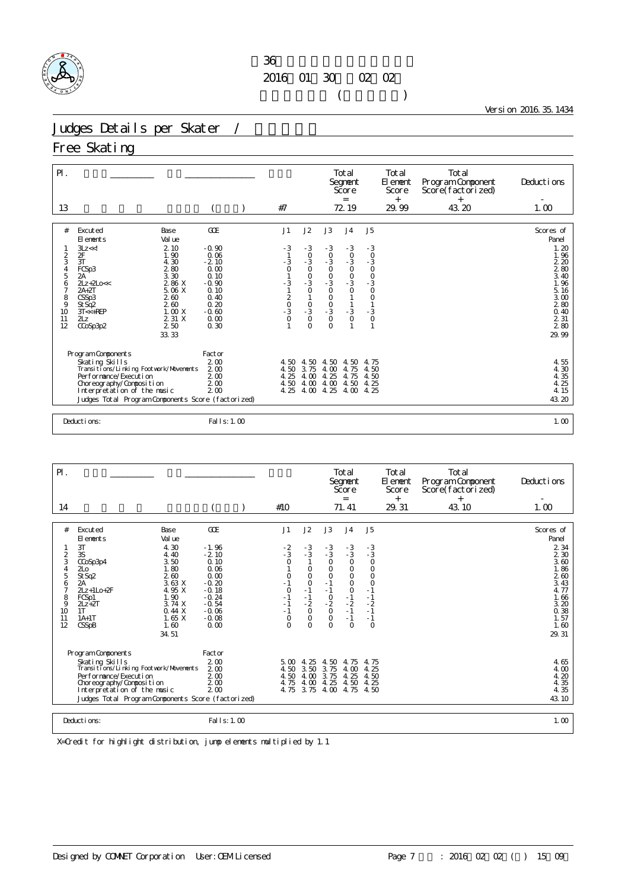

Version 2016.35.1434

# Judges Details per Skater /

## Free Skating

| $\mathsf{P} \mathsf{I}$ .<br>13                                                                                                                                                                                                                                                                                                                                   |                                                                                                                 | #7                                                         |                                                                                                                                                                   |                                                                                           | Total<br>Segnent<br>Score<br>$=$<br>72.19                                                                                            |                                                                                                                                     | Total<br>El ement<br>Score<br>$^{+}$<br>29.99 | Total<br>Program Component<br>Score(factorized)<br>$\ddot{}$<br>43.20 | Deductions<br>1.00                                                                                                                                     |
|-------------------------------------------------------------------------------------------------------------------------------------------------------------------------------------------------------------------------------------------------------------------------------------------------------------------------------------------------------------------|-----------------------------------------------------------------------------------------------------------------|------------------------------------------------------------|-------------------------------------------------------------------------------------------------------------------------------------------------------------------|-------------------------------------------------------------------------------------------|--------------------------------------------------------------------------------------------------------------------------------------|-------------------------------------------------------------------------------------------------------------------------------------|-----------------------------------------------|-----------------------------------------------------------------------|--------------------------------------------------------------------------------------------------------------------------------------------------------|
| #<br>Excuted<br>Base<br>Val ue<br>El ements<br>2.10<br>3Lz < d<br>2F<br>$\frac{2}{3}$<br>1.90<br>3T<br>4.30<br>280<br>$\frac{4}{5}$<br>FCSp3<br>3.30<br>2A<br>2 86 X<br>$21z + 210 < c$<br>$\frac{6}{7}$<br>$2A+2T$<br>5.06 X<br>8<br>CSSp3<br>2.60<br>9<br>260<br>St Sq2<br>1.00X<br>10<br>$3T < +REP$<br>2 31 X<br>2Lz<br>11<br>12<br>2 50<br>CCoSp3p2<br>33.33 | GOE<br>$-0.90$<br>0.06<br>$-2.10$<br>0.00<br>0.10<br>$-0.90$<br>0.10<br>0.40<br>0.20<br>$-0.60$<br>0.00<br>0.30 | J1<br>$-3$<br>$-3$<br>0 1 0 1 - 3 1 1<br>$-3$<br>$-3$<br>O | J2<br>$-3$<br>$\begin{smallmatrix}0\\-3\end{smallmatrix}$<br>$\frac{0}{0}$<br>-3<br>$\circ$<br>$\begin{smallmatrix}0\\-3\end{smallmatrix}$<br>$\circ$<br>$\Omega$ | J3<br>$-3$<br>$0 - 3$<br>$0 - 3$<br>$0 - 3$<br>$\frac{0}{0}$<br>$\frac{0}{3}$<br>$\Omega$ | J <sub>4</sub><br>$-3$<br>$\begin{smallmatrix}0\\-3\end{smallmatrix}$<br>$-0$<br>$-3$<br>0<br>$\mathbf{1}$<br>$\mathbf{1}$<br>$-3$ 0 | J5<br>$\text{-}3$<br>$\begin{smallmatrix}0\\-3\end{smallmatrix}$<br>$-0$<br>$-3$<br>$0$<br>$\circ$<br>$\frac{3}{0}$<br>$\mathbf{1}$ |                                               |                                                                       | Scores of<br>Panel<br>1.20<br>1.96<br>220<br>280<br>3.40<br>1.96<br>$\begin{array}{c} 5.16 \\ 3.00 \end{array}$<br>280<br>0.40<br>2.31<br>280<br>29.99 |
| Program Components<br>Skating Skills<br>Transitions/Linking Footwork/Movements<br>Performance/Execution<br>Choreography/Composition<br>Interpretation of the music<br>Judges Total Program Components Score (factorized)<br>Deductions:                                                                                                                           | Factor<br>2 <sub>0</sub><br>200<br>200<br>2 <sub>0</sub><br>2 <sub>0</sub><br>Fal I s: 1, 00                    | 4.50<br>4.50<br>4.25<br>4.50<br>4.25                       | 4.50<br>3.75<br>4.00<br>4.00<br>4.00                                                                                                                              | 4.50<br>4.00<br>4.25<br>4.00<br>4.25                                                      | 4.50<br>4.75<br>4.75<br>4.50<br>4.00                                                                                                 | 4.75<br>4.50<br>4.50<br>4.25<br>4.25                                                                                                |                                               |                                                                       | 4.55<br>$4\overline{30}$<br>$4\overline{35}$<br>$4\overline{25}$<br>$4\overline{15}$<br>43.20<br>1.00                                                  |

| $\mathsf{P}$ .                                                     |                                                                                                                                                                                                                                                                                      |                                                                                                                                    |                                                                                                |                                                                                                         |                                                                                                                          | Total<br>Segnent<br>Score<br>$=$                                                                                               |                                                                                                                                                    | Total<br>El ement<br>Score<br>$+$ | Total<br>Program Component<br>Score(factorized) | Deductions                                                                                                                   |
|--------------------------------------------------------------------|--------------------------------------------------------------------------------------------------------------------------------------------------------------------------------------------------------------------------------------------------------------------------------------|------------------------------------------------------------------------------------------------------------------------------------|------------------------------------------------------------------------------------------------|---------------------------------------------------------------------------------------------------------|--------------------------------------------------------------------------------------------------------------------------|--------------------------------------------------------------------------------------------------------------------------------|----------------------------------------------------------------------------------------------------------------------------------------------------|-----------------------------------|-------------------------------------------------|------------------------------------------------------------------------------------------------------------------------------|
| 14                                                                 |                                                                                                                                                                                                                                                                                      |                                                                                                                                    | #10                                                                                            |                                                                                                         |                                                                                                                          | 71.41                                                                                                                          |                                                                                                                                                    | 29.31                             | $^{+}$<br>43.10                                 | 1.00                                                                                                                         |
| #<br>$\frac{2}{3}$<br>4<br>5<br>6<br>7<br>8<br>9<br>10<br>11<br>12 | Excuted<br>Base<br>Val ue<br>El ements<br>3T<br>4.30<br>3S<br>4.40<br>3.50<br>CCoSp3p4<br>1.80<br>2 <sub>LO</sub><br>St Sq2<br>260<br>3.63X<br>2A<br>4.95 X<br>$2Lz + 1Lo + 2F$<br>1.90<br>FCSp1<br>3.74X<br>$2Lz + 2T$<br>0.44X<br>1T<br>1.65X<br>$1A+1T$<br>CSSpB<br>1.60<br>34.51 | <b>GOE</b><br>$-1.96$<br>$-2.10$<br>0.10<br>0.06<br>0.00<br>$-0.20$<br>$-0.18$<br>$-0.24$<br>$-0.54$<br>$-0.06$<br>$-0.08$<br>0.00 | J1<br>$-2$<br>$-3$<br>0<br>0<br>$-1$<br>$\circ$<br>$-1$<br>$-1$<br>$-1$<br>$\circ$<br>$\Omega$ | J2<br>$-3$<br>$-3$<br>0<br>$\circ$<br>$\circ$<br>$-1$<br>$-1$<br>$-2$<br>$\circ$<br>$\circ$<br>$\Omega$ | J3<br>$-3$<br>$-3$<br>$\circ$<br>$\circ$<br>$\circ$<br>$-1$<br>$-1$<br>$\circ$<br>$-2$<br>$\circ$<br>$\circ$<br>$\Omega$ | J <sub>4</sub><br>$-3$<br>$-3$<br>$\circ$<br>O<br>$\circ$<br>$\circ$<br>$\mathsf O$<br>$-1$<br>$-2$<br>$-1$<br>$-1$<br>$\circ$ | J <sub>5</sub><br>$\begin{array}{c} -3 \\ -3 \\ 0 \end{array}$<br>$\circ$<br>$\circ$<br>$\circ$<br>$-1$<br>$-1$<br>$-2$<br>$-1$<br>$-1$<br>$\circ$ |                                   |                                                 | Scores of<br>Panel<br>2 3 4<br>2 3 0<br>3.60<br>1.86<br>260<br>3.43<br>4.77<br>1.66<br>3.20<br>0.38<br>1.57<br>1.60<br>29.31 |
|                                                                    | Program Components<br>Skating Skills<br>Transi ti ons/Li nki ng Footvork/Movements<br>Per for mance/Execution<br>Choreography/Composition<br>Interpretation of the music<br>Judges Total Program Components Score (factorized)                                                       | Factor<br>200<br>2 <sub>0</sub><br>200<br>2 <sub>0</sub><br>2 <sub>0</sub>                                                         | 5.00<br>4.50<br>4.50<br>4.75<br>4.75                                                           | 4.25<br>3.50<br>4.00<br>4.00<br>3.75                                                                    | 4.50<br>3.75<br>3.75<br>4.25<br>4.00                                                                                     | 4.75<br>4.00<br>4.25<br>4.50<br>4.75                                                                                           | 4.75<br>4.25<br>4.50<br>4.25<br>4.50                                                                                                               |                                   |                                                 | 4.65<br>4.00<br>4.20<br>4.35<br>4.35<br>43.10                                                                                |
|                                                                    | Deductions:                                                                                                                                                                                                                                                                          | Fal I s: 1, 00                                                                                                                     |                                                                                                |                                                                                                         |                                                                                                                          |                                                                                                                                |                                                                                                                                                    |                                   |                                                 | 1.00                                                                                                                         |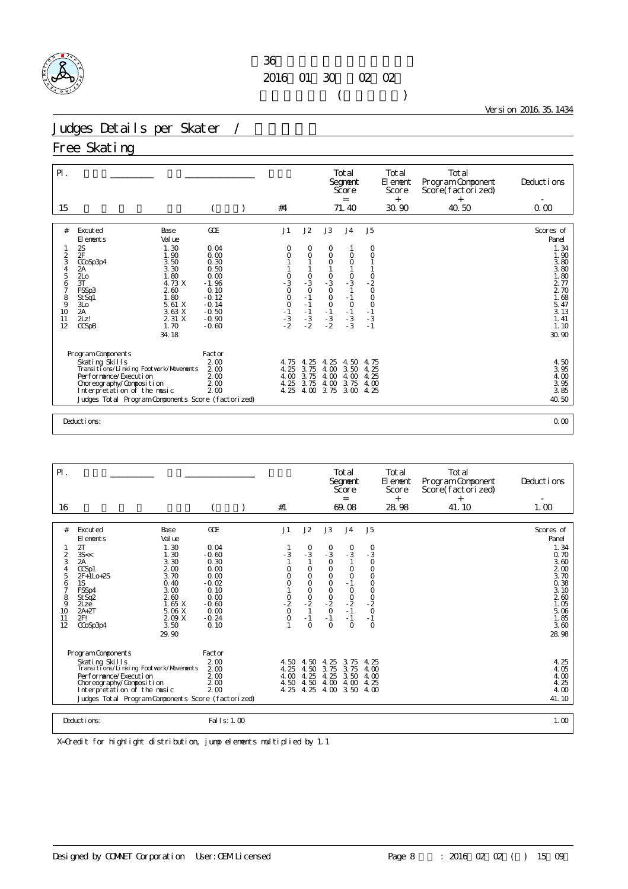

Version 2016.35.1434

# Judges Details per Skater /

## Free Skating

| $P$ .<br>15                                                                                                    |                                                                                                                                                                                                                                                                            |                                                                                                                       | #4                                                                      |                                                                                                                |                                                                                    | Total<br>Segnent<br>Score<br>$=$<br>71.40                                                                           |                                                                                  | Total<br>El ement<br>Score<br>$^{+}$<br>30.90 | Total<br>Program Component<br>Score(factorized)<br>$^{+}$<br>40.50 | Deductions<br>0.00                                                                                                          |
|----------------------------------------------------------------------------------------------------------------|----------------------------------------------------------------------------------------------------------------------------------------------------------------------------------------------------------------------------------------------------------------------------|-----------------------------------------------------------------------------------------------------------------------|-------------------------------------------------------------------------|----------------------------------------------------------------------------------------------------------------|------------------------------------------------------------------------------------|---------------------------------------------------------------------------------------------------------------------|----------------------------------------------------------------------------------|-----------------------------------------------|--------------------------------------------------------------------|-----------------------------------------------------------------------------------------------------------------------------|
| #<br>$\frac{2}{3}$<br>$\begin{array}{c} 4 \\ 5 \end{array}$<br>6<br>$\overline{7}$<br>8<br>9<br>10<br>11<br>12 | Excuted<br>Base<br>El ements<br>Val ue<br>2S<br>1.30<br>2F<br>1.90<br>3.50<br>CCoSp3p4<br>3.30<br>2A<br>1.80<br>2L <sub>0</sub><br>3T<br>4.73 X<br>260<br>FSSp3<br>1.80<br>St Sq1<br>5.61 X<br>3L <sub>O</sub><br>3.63 X<br>2A<br>2 31 X<br>2Lz!<br>1.70<br>CCSpB<br>34.18 | GOE<br>0.04<br>0.00<br>0.30<br>0.50<br>0.00<br>$-1.96$<br>0.10<br>$-0.12$<br>$-0.14$<br>$-0.50$<br>$-0.90$<br>$-0.60$ | J1<br>0<br>0<br>$\frac{0}{3}$<br>$\circ$<br>$0$<br>$-1$<br>$-3$<br>$-2$ | J2<br>0<br>O<br>$\begin{smallmatrix}0\\-3\end{smallmatrix}$<br>$\circ$<br>$-1$<br>$-1$<br>$-1$<br>$-3$<br>$-2$ | J3<br>0<br>$\circ$<br>O<br>$\frac{0}{3}$<br>$\circ$<br>$0$<br>$-1$<br>$-3$<br>$-2$ | J <sub>4</sub><br>$\circ$<br>$\circ$<br>$\frac{1}{0}$<br>-3<br>$\mathbf{1}$<br>$-1$<br>$-0$<br>$-1$<br>$-3$<br>$-3$ | J <sub>5</sub><br>0<br>$\circ$<br>$-2$<br>$-2$<br>0<br>$000 - 1 - 3 = 3$<br>$-1$ |                                               |                                                                    | Scores of<br>Panel<br>1.34<br>1.90<br>3.80<br>3.80<br>1.80<br>2.77<br>2.70<br>1.68<br>5.47<br>3.13<br>1.41<br>1.10<br>30.90 |
|                                                                                                                | Program Components<br>Skating Skills<br>Transi ti ons/Li nki ng Footvork/Movements<br>Performance/Execution<br>Choreography/Composition<br>Interpretation of the music<br>Judges Total Program Components Score (factorized)<br>Deductions:                                | Factor<br>2 <sub>0</sub><br>200<br>200<br>2 <sub>0</sub><br>2 <sub>0</sub>                                            | 4.75<br>4.25<br>4.00<br>4.25<br>4.25                                    | 4.25<br>3.75<br>3.75<br>3.75<br>4.00                                                                           | 25<br>4.<br>4.00<br>4.00<br>4.00<br>3.75                                           | 4.50<br>3.50<br>4.00<br>3.75<br>3.00                                                                                | 4.75<br>4.25<br>4.25<br>4.00<br>4.25                                             |                                               |                                                                    | 4.50<br>3.95<br>$\frac{4}{3}$ $\frac{00}{95}$<br>3.85<br>40.50<br>0.00                                                      |

| 16                                                                                                                                                                                                                                                                                                                                                   |                                                                                                                 | #1                                                                    |                                                                                                                  |                                                                    |                                                                                                                                   |                                                                                                                                                          |              | Score(factorized) |                                                                                                                                      |
|------------------------------------------------------------------------------------------------------------------------------------------------------------------------------------------------------------------------------------------------------------------------------------------------------------------------------------------------------|-----------------------------------------------------------------------------------------------------------------|-----------------------------------------------------------------------|------------------------------------------------------------------------------------------------------------------|--------------------------------------------------------------------|-----------------------------------------------------------------------------------------------------------------------------------|----------------------------------------------------------------------------------------------------------------------------------------------------------|--------------|-------------------|--------------------------------------------------------------------------------------------------------------------------------------|
|                                                                                                                                                                                                                                                                                                                                                      |                                                                                                                 |                                                                       |                                                                                                                  |                                                                    | $=$<br>69.08                                                                                                                      |                                                                                                                                                          | $+$<br>28.98 | $^{+}$<br>41.10   | 1.00                                                                                                                                 |
| #<br>Excuted<br>Base<br>Val ue<br>El ements<br>2T<br>1.30<br>$\frac{2}{3}$<br>3S <<<br>1.30<br>3.30<br>2A<br>$\overline{4}$<br>200<br>CCSD1<br>5<br>$2F+1Lo+2S$<br>3.70<br>6<br>1S<br>0.40<br>FSSp4<br>3.00<br>7<br>8<br>260<br>St Sq2<br>1.65X<br>9<br>$2$ Lze<br>5.06 X<br>10<br>$2A+2T$<br>2.09 X<br>2F!<br>11<br>12<br>CCoSp3p4<br>3.50<br>29.90 | GOE<br>0.04<br>$-0.60$<br>0.30<br>0.00<br>0.00<br>$-0.02$<br>0.10<br>0.00<br>$-0.60$<br>0.00<br>$-0.24$<br>0.10 | J1<br>$-3$<br>$\circ$<br>$\circ$<br>$\circ$<br>$-2$<br>$-2$<br>0<br>0 | J2<br>0<br>$-3$<br>$\circ$<br>$\circ$<br>$\circ$<br>$\circ$<br>$\frac{0}{2}$<br>$\mathbf{1}$<br>$-1$<br>$\Omega$ | J3<br>0<br>$-3$<br>$\circ$<br>$\circ$<br>00000<br>$-1$<br>$\Omega$ | J <sub>4</sub><br>0<br>$-3$<br>$\circ$<br>$\circ$<br>$-1$<br>$\begin{matrix} 0 \\ 0 \\ -2 \\ -1 \end{matrix}$<br>$-1$<br>$\Omega$ | J5<br>$\begin{smallmatrix}0\\-3\end{smallmatrix}$<br>$\circ$<br>$\mathsf O$<br>$\begin{array}{c}\n0 \\ 0 \\ 0 \\ -2 \\ 0 \\ -1\n\end{array}$<br>$\Omega$ |              |                   | Scores of<br>Panel<br>1.34<br>0.70<br>3.60<br>2 <sub>0</sub><br>3.70<br>0.38<br>3.10<br>260<br>1.05<br>5.06<br>1.85<br>3.60<br>28.98 |
| Program Components<br>Skating Skills<br>Transi ti ons/Li nki ng Footvork/Movements<br>Per for mance/Execution<br>Choreography/Composition<br>Interpretation of the music<br>Judges Total Program Components Score (factorized)<br>Deductions:                                                                                                        | Factor<br>2 <sub>0</sub><br>2 <sub>0</sub><br>2 <sub>0</sub><br>200<br>2 <sub>0</sub><br>Fal   s: 1.00          | 4.50<br>4.25<br>4.00<br>4.50<br>4.25                                  | 4.50<br>4.50<br>4.25<br>4.50<br>4.25                                                                             | 4.25<br>3.75<br>4.25<br>4.00<br>4.00                               | 3.75<br>3.75<br>3.50<br>4.00<br>3.50                                                                                              | 4.25<br>4.00<br>4.00<br>4.25<br>4.00                                                                                                                     |              |                   | 4.25<br>4.05<br>4.00<br>4.25<br>4.00<br>41.10<br>1.00                                                                                |